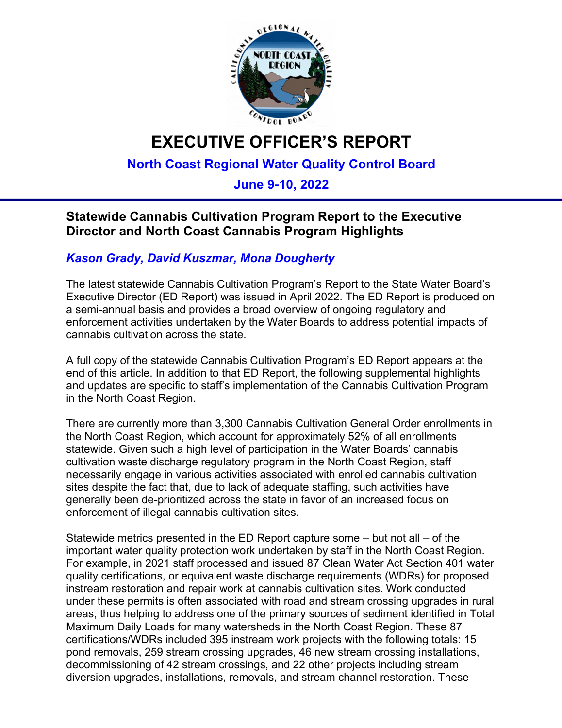

# **EXECUTIVE OFFICER'S REPORT**

# **North Coast Regional Water Quality Control Board**

# **June 9-10, 2022**

# **Statewide Cannabis Cultivation Program Report to the Executive Director and North Coast Cannabis Program Highlights**

## *Kason Grady, David Kuszmar, Mona Dougherty*

The latest statewide Cannabis Cultivation Program's Report to the State Water Board's Executive Director (ED Report) was issued in April 2022. The ED Report is produced on a semi-annual basis and provides a broad overview of ongoing regulatory and enforcement activities undertaken by the Water Boards to address potential impacts of cannabis cultivation across the state.

A full copy of the statewide Cannabis Cultivation Program's ED Report appears at the end of this article. In addition to that ED Report, the following supplemental highlights and updates are specific to staff's implementation of the Cannabis Cultivation Program in the North Coast Region.

There are currently more than 3,300 Cannabis Cultivation General Order enrollments in the North Coast Region, which account for approximately 52% of all enrollments statewide. Given such a high level of participation in the Water Boards' cannabis cultivation waste discharge regulatory program in the North Coast Region, staff necessarily engage in various activities associated with enrolled cannabis cultivation sites despite the fact that, due to lack of adequate staffing, such activities have generally been de-prioritized across the state in favor of an increased focus on enforcement of illegal cannabis cultivation sites.

Statewide metrics presented in the ED Report capture some – but not all – of the important water quality protection work undertaken by staff in the North Coast Region. For example, in 2021 staff processed and issued 87 Clean Water Act Section 401 water quality certifications, or equivalent waste discharge requirements (WDRs) for proposed instream restoration and repair work at cannabis cultivation sites. Work conducted under these permits is often associated with road and stream crossing upgrades in rural areas, thus helping to address one of the primary sources of sediment identified in Total Maximum Daily Loads for many watersheds in the North Coast Region. These 87 certifications/WDRs included 395 instream work projects with the following totals: 15 pond removals, 259 stream crossing upgrades, 46 new stream crossing installations, decommissioning of 42 stream crossings, and 22 other projects including stream diversion upgrades, installations, removals, and stream channel restoration. These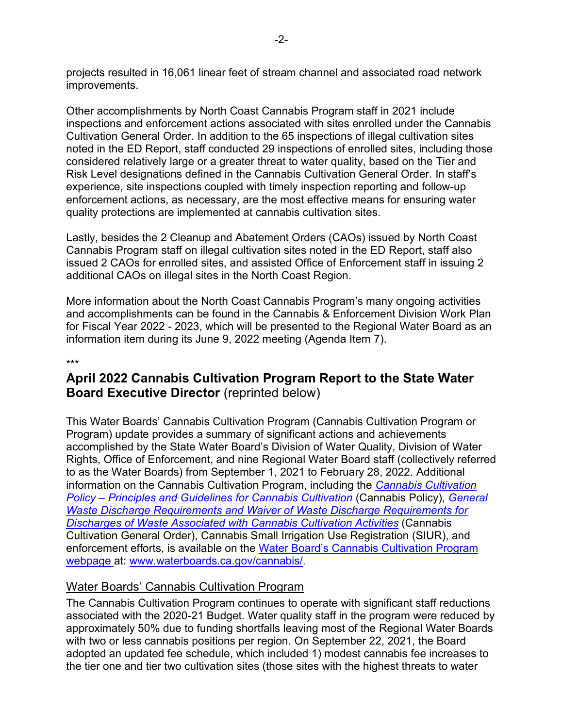projects resulted in 16,061 linear feet of stream channel and associated road network improvements.

Other accomplishments by North Coast Cannabis Program staff in 2021 include inspections and enforcement actions associated with sites enrolled under the Cannabis Cultivation General Order. In addition to the 65 inspections of illegal cultivation sites noted in the ED Report, staff conducted 29 inspections of enrolled sites, including those considered relatively large or a greater threat to water quality, based on the Tier and Risk Level designations defined in the Cannabis Cultivation General Order. In staff's experience, site inspections coupled with timely inspection reporting and follow-up enforcement actions, as necessary, are the most effective means for ensuring water quality protections are implemented at cannabis cultivation sites.

Lastly, besides the 2 Cleanup and Abatement Orders (CAOs) issued by North Coast Cannabis Program staff on illegal cultivation sites noted in the ED Report, staff also issued 2 CAOs for enrolled sites, and assisted Office of Enforcement staff in issuing 2 additional CAOs on illegal sites in the North Coast Region.

More information about the North Coast Cannabis Program's many ongoing activities and accomplishments can be found in the Cannabis & Enforcement Division Work Plan for Fiscal Year 2022 - 2023, which will be presented to the Regional Water Board as an information item during its June 9, 2022 meeting (Agenda Item 7).

#### \*\*\*

# **April 2022 Cannabis Cultivation Program Report to the State Water Board Executive Director** (reprinted below)

This Water Boards' Cannabis Cultivation Program (Cannabis Cultivation Program or Program) update provides a summary of significant actions and achievements accomplished by the State Water Board's Division of Water Quality, Division of Water Rights, Office of Enforcement, and nine Regional Water Board staff (collectively referred to as the Water Boards) from September 1, 2021 to February 28, 2022. Additional information on the Cannabis Cultivation Program, including the *[Cannabis Cultivation](https://www.waterboards.ca.gov/water_issues/programs/cannabis/docs/policy/final_cannabis_policy_with_attach_a.pdf)  Policy – [Principles and Guidelines for Cannabis Cultivation](https://www.waterboards.ca.gov/water_issues/programs/cannabis/docs/policy/final_cannabis_policy_with_attach_a.pdf)* (Cannabis Policy), *[General](https://www.waterboards.ca.gov/board_decisions/adopted_orders/water_quality/2019/wqo2019_0001_dwq.pdf)  [Waste Discharge Requirements and Waiver of Waste Discharge Requirements for](https://www.waterboards.ca.gov/board_decisions/adopted_orders/water_quality/2019/wqo2019_0001_dwq.pdf)  [Discharges of Waste Associated with Cannabis Cultivation Activities](https://www.waterboards.ca.gov/board_decisions/adopted_orders/water_quality/2019/wqo2019_0001_dwq.pdf)* (Cannabis Cultivation General Order), Cannabis Small Irrigation Use Registration (SIUR), and enforcement efforts, is available on the Water Board's Cannabis Cultivation Program webpage at: [www.waterboards.ca.gov/cannabis/.](http://www.waterboards.ca.gov/cannabis/)

#### Water Boards' Cannabis Cultivation Program

The Cannabis Cultivation Program continues to operate with significant staff reductions associated with the 2020-21 Budget. Water quality staff in the program were reduced by approximately 50% due to funding shortfalls leaving most of the Regional Water Boards with two or less cannabis positions per region. On September 22, 2021, the Board adopted an updated fee schedule, which included 1) modest cannabis fee increases to the tier one and tier two cultivation sites (those sites with the highest threats to water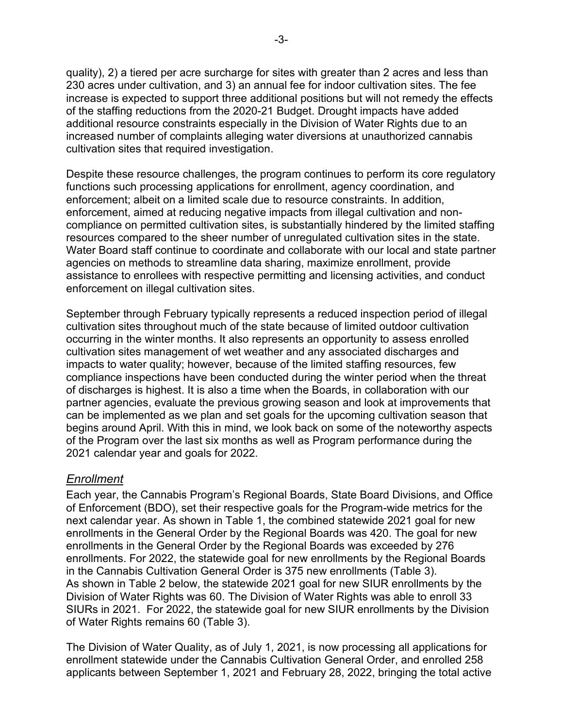quality), 2) a tiered per acre surcharge for sites with greater than 2 acres and less than 230 acres under cultivation, and 3) an annual fee for indoor cultivation sites. The fee increase is expected to support three additional positions but will not remedy the effects of the staffing reductions from the 2020-21 Budget. Drought impacts have added additional resource constraints especially in the Division of Water Rights due to an increased number of complaints alleging water diversions at unauthorized cannabis cultivation sites that required investigation.

Despite these resource challenges, the program continues to perform its core regulatory functions such processing applications for enrollment, agency coordination, and enforcement; albeit on a limited scale due to resource constraints. In addition, enforcement, aimed at reducing negative impacts from illegal cultivation and noncompliance on permitted cultivation sites, is substantially hindered by the limited staffing resources compared to the sheer number of unregulated cultivation sites in the state. Water Board staff continue to coordinate and collaborate with our local and state partner agencies on methods to streamline data sharing, maximize enrollment, provide assistance to enrollees with respective permitting and licensing activities, and conduct enforcement on illegal cultivation sites.

September through February typically represents a reduced inspection period of illegal cultivation sites throughout much of the state because of limited outdoor cultivation occurring in the winter months. It also represents an opportunity to assess enrolled cultivation sites management of wet weather and any associated discharges and impacts to water quality; however, because of the limited staffing resources, few compliance inspections have been conducted during the winter period when the threat of discharges is highest. It is also a time when the Boards, in collaboration with our partner agencies, evaluate the previous growing season and look at improvements that can be implemented as we plan and set goals for the upcoming cultivation season that begins around April. With this in mind, we look back on some of the noteworthy aspects of the Program over the last six months as well as Program performance during the 2021 calendar year and goals for 2022.

#### *Enrollment*

Each year, the Cannabis Program's Regional Boards, State Board Divisions, and Office of Enforcement (BDO), set their respective goals for the Program-wide metrics for the next calendar year. As shown in Table 1, the combined statewide 2021 goal for new enrollments in the General Order by the Regional Boards was 420. The goal for new enrollments in the General Order by the Regional Boards was exceeded by 276 enrollments. For 2022, the statewide goal for new enrollments by the Regional Boards in the Cannabis Cultivation General Order is 375 new enrollments (Table 3). As shown in Table 2 below, the statewide 2021 goal for new SIUR enrollments by the Division of Water Rights was 60. The Division of Water Rights was able to enroll 33 SIURs in 2021. For 2022, the statewide goal for new SIUR enrollments by the Division of Water Rights remains 60 (Table 3).

The Division of Water Quality, as of July 1, 2021, is now processing all applications for enrollment statewide under the Cannabis Cultivation General Order, and enrolled 258 applicants between September 1, 2021 and February 28, 2022, bringing the total active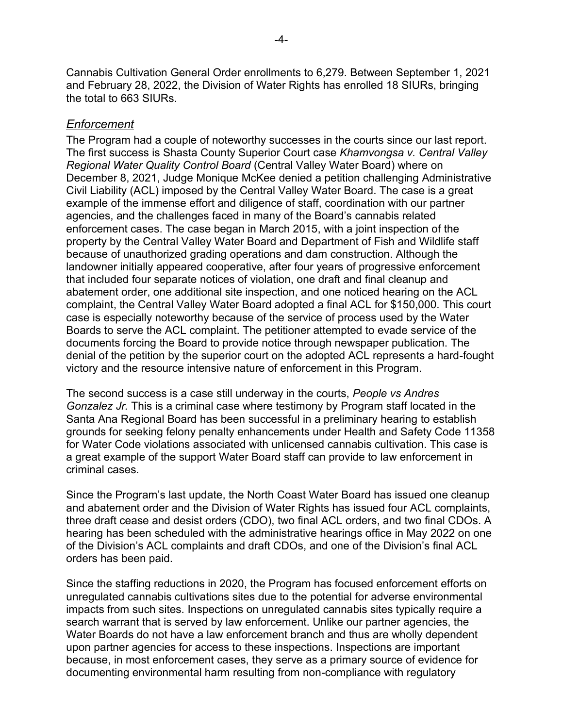Cannabis Cultivation General Order enrollments to 6,279. Between September 1, 2021 and February 28, 2022, the Division of Water Rights has enrolled 18 SIURs, bringing the total to 663 SIURs.

#### *Enforcement*

The Program had a couple of noteworthy successes in the courts since our last report. The first success is Shasta County Superior Court case *Khamvongsa v. Central Valley Regional Water Quality Control Board* (Central Valley Water Board) where on December 8, 2021, Judge Monique McKee denied a petition challenging Administrative Civil Liability (ACL) imposed by the Central Valley Water Board. The case is a great example of the immense effort and diligence of staff, coordination with our partner agencies, and the challenges faced in many of the Board's cannabis related enforcement cases. The case began in March 2015, with a joint inspection of the property by the Central Valley Water Board and Department of Fish and Wildlife staff because of unauthorized grading operations and dam construction. Although the landowner initially appeared cooperative, after four years of progressive enforcement that included four separate notices of violation, one draft and final cleanup and abatement order, one additional site inspection, and one noticed hearing on the ACL complaint, the Central Valley Water Board adopted a final ACL for \$150,000. This court case is especially noteworthy because of the service of process used by the Water Boards to serve the ACL complaint. The petitioner attempted to evade service of the documents forcing the Board to provide notice through newspaper publication. The denial of the petition by the superior court on the adopted ACL represents a hard-fought victory and the resource intensive nature of enforcement in this Program.

The second success is a case still underway in the courts, *People vs Andres Gonzalez Jr.* This is a criminal case where testimony by Program staff located in the Santa Ana Regional Board has been successful in a preliminary hearing to establish grounds for seeking felony penalty enhancements under Health and Safety Code 11358 for Water Code violations associated with unlicensed cannabis cultivation. This case is a great example of the support Water Board staff can provide to law enforcement in criminal cases.

Since the Program's last update, the North Coast Water Board has issued one cleanup and abatement order and the Division of Water Rights has issued four ACL complaints, three draft cease and desist orders (CDO), two final ACL orders, and two final CDOs. A hearing has been scheduled with the administrative hearings office in May 2022 on one of the Division's ACL complaints and draft CDOs, and one of the Division's final ACL orders has been paid.

Since the staffing reductions in 2020, the Program has focused enforcement efforts on unregulated cannabis cultivations sites due to the potential for adverse environmental impacts from such sites. Inspections on unregulated cannabis sites typically require a search warrant that is served by law enforcement. Unlike our partner agencies, the Water Boards do not have a law enforcement branch and thus are wholly dependent upon partner agencies for access to these inspections. Inspections are important because, in most enforcement cases, they serve as a primary source of evidence for documenting environmental harm resulting from non-compliance with regulatory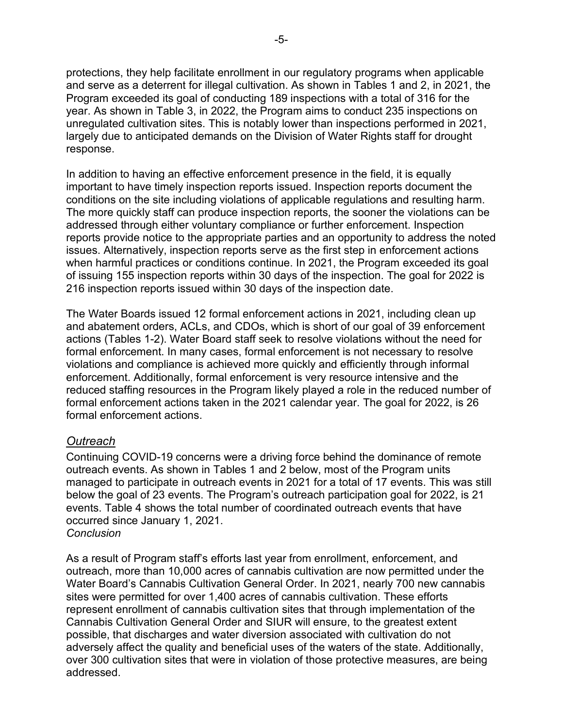protections, they help facilitate enrollment in our regulatory programs when applicable and serve as a deterrent for illegal cultivation. As shown in Tables 1 and 2, in 2021, the Program exceeded its goal of conducting 189 inspections with a total of 316 for the year. As shown in Table 3, in 2022, the Program aims to conduct 235 inspections on unregulated cultivation sites. This is notably lower than inspections performed in 2021, largely due to anticipated demands on the Division of Water Rights staff for drought response.

In addition to having an effective enforcement presence in the field, it is equally important to have timely inspection reports issued. Inspection reports document the conditions on the site including violations of applicable regulations and resulting harm. The more quickly staff can produce inspection reports, the sooner the violations can be addressed through either voluntary compliance or further enforcement. Inspection reports provide notice to the appropriate parties and an opportunity to address the noted issues. Alternatively, inspection reports serve as the first step in enforcement actions when harmful practices or conditions continue. In 2021, the Program exceeded its goal of issuing 155 inspection reports within 30 days of the inspection. The goal for 2022 is 216 inspection reports issued within 30 days of the inspection date.

The Water Boards issued 12 formal enforcement actions in 2021, including clean up and abatement orders, ACLs, and CDOs, which is short of our goal of 39 enforcement actions (Tables 1-2). Water Board staff seek to resolve violations without the need for formal enforcement. In many cases, formal enforcement is not necessary to resolve violations and compliance is achieved more quickly and efficiently through informal enforcement. Additionally, formal enforcement is very resource intensive and the reduced staffing resources in the Program likely played a role in the reduced number of formal enforcement actions taken in the 2021 calendar year. The goal for 2022, is 26 formal enforcement actions.

#### *Outreach*

Continuing COVID-19 concerns were a driving force behind the dominance of remote outreach events. As shown in Tables 1 and 2 below, most of the Program units managed to participate in outreach events in 2021 for a total of 17 events. This was still below the goal of 23 events. The Program's outreach participation goal for 2022, is 21 events. Table 4 shows the total number of coordinated outreach events that have occurred since January 1, 2021. *Conclusion*

As a result of Program staff's efforts last year from enrollment, enforcement, and outreach, more than 10,000 acres of cannabis cultivation are now permitted under the Water Board's Cannabis Cultivation General Order. In 2021, nearly 700 new cannabis sites were permitted for over 1,400 acres of cannabis cultivation. These efforts represent enrollment of cannabis cultivation sites that through implementation of the Cannabis Cultivation General Order and SIUR will ensure, to the greatest extent possible, that discharges and water diversion associated with cultivation do not adversely affect the quality and beneficial uses of the waters of the state. Additionally, over 300 cultivation sites that were in violation of those protective measures, are being addressed.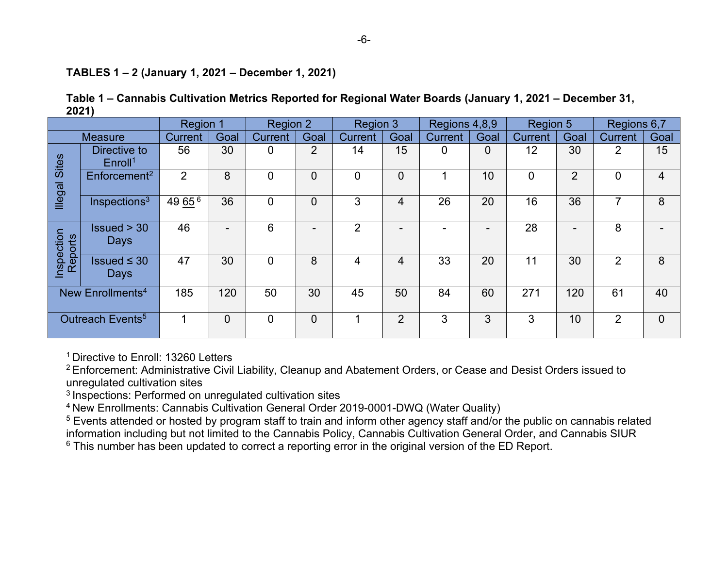#### **TABLES 1 – 2 (January 1, 2021 – December 1, 2021)**

|       | Table 1 – Cannabis Cultivation Metrics Reported for Regional Water Boards (January 1, 2021 – December 31, |
|-------|-----------------------------------------------------------------------------------------------------------|
| 2021) |                                                                                                           |

|                              |                                     | Region 1       |      | Region 2       |                          | Region 3       |                | Regions 4,8,9  |      | Region 5       |                | Regions 6,7    |                |
|------------------------------|-------------------------------------|----------------|------|----------------|--------------------------|----------------|----------------|----------------|------|----------------|----------------|----------------|----------------|
|                              | <b>Measure</b>                      | <b>Current</b> | Goal | <b>Current</b> | Goal                     | <b>Current</b> | Goal           | <b>Current</b> | Goal | <b>Current</b> | Goal           | <b>Current</b> | Goal           |
| <b>Illegal Sites</b>         | Directive to<br>Enroll <sup>1</sup> | 56             | 30   | 0              | 2                        | 14             | 15             | 0              | 0    | 12             | 30             | 2              | 15             |
|                              | Enforcement <sup>2</sup>            | $\overline{2}$ | 8    | $\Omega$       | $\overline{0}$           | $\overline{0}$ | $\overline{0}$ |                | 10   | 0              | $\overline{2}$ | $\mathbf{0}$   | 4              |
|                              | Inspections <sup>3</sup>            | 49 65 6        | 36   | 0              | $\overline{0}$           | 3              | 4              | 26             | 20   | 16             | 36             | 7              | 8              |
| Inspection<br>Reports        | Is sued > 30<br>Days                | 46             | -    | 6              | $\overline{\phantom{0}}$ | $\overline{2}$ |                |                | -    | 28             | -              | 8              |                |
|                              | Issued $\leq$ 30<br>Days            | 47             | 30   | $\Omega$       | 8                        | 4              | 4              | 33             | 20   | 11             | 30             | $\overline{2}$ | 8              |
| New Enrollments <sup>4</sup> |                                     | 185            | 120  | 50             | 30                       | 45             | 50             | 84             | 60   | 271            | 120            | 61             | 40             |
| Outreach Events <sup>5</sup> |                                     |                | 0    | $\mathbf 0$    | $\overline{0}$           | 1              | $\overline{2}$ | 3              | 3    | 3              | 10             | $\overline{2}$ | $\overline{0}$ |

<sup>1</sup> Directive to Enroll: 13260 Letters

<sup>2</sup>Enforcement: Administrative Civil Liability, Cleanup and Abatement Orders, or Cease and Desist Orders issued to unregulated cultivation sites

<sup>3</sup> Inspections: Performed on unregulated cultivation sites

<sup>4</sup>New Enrollments: Cannabis Cultivation General Order 2019-0001-DWQ (Water Quality)

<sup>5</sup> Events attended or hosted by program staff to train and inform other agency staff and/or the public on cannabis related information including but not limited to the Cannabis Policy, Cannabis Cultivation General Order, and Cannabis SIUR

<sup>6</sup> This number has been updated to correct a reporting error in the original version of the ED Report.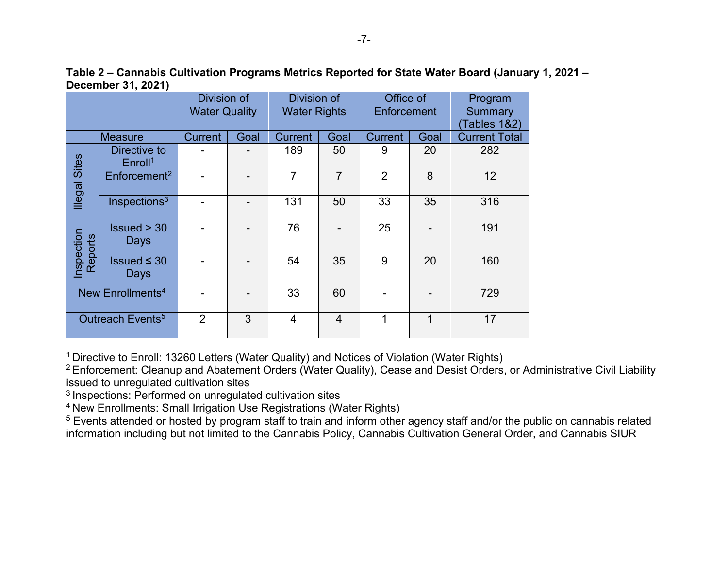**Table 2 – Cannabis Cultivation Programs Metrics Reported for State Water Board (January 1, 2021 – December 31, 2021)**

|                              |                                     | Division of<br><b>Water Quality</b> |      | Division of<br><b>Water Rights</b> |                | Office of<br>Enforcement |      | Program<br>Summary<br>Tables 1&2) |
|------------------------------|-------------------------------------|-------------------------------------|------|------------------------------------|----------------|--------------------------|------|-----------------------------------|
|                              | <b>Measure</b>                      | <b>Current</b>                      | Goal | <b>Current</b>                     | Goal           | <b>Current</b>           | Goal | <b>Current Total</b>              |
|                              | Directive to<br>Enroll <sup>1</sup> |                                     |      | 189                                | 50             | 9                        | 20   | 282                               |
| <b>Illegal Sites</b>         | Enforcement <sup>2</sup>            |                                     |      | $\overline{7}$                     | $\overline{7}$ | $\overline{2}$           | 8    | 12                                |
|                              | Inspections <sup>3</sup>            |                                     |      | 131                                | 50             | 33                       | 35   | 316                               |
| Inspection<br>Reports        | Is sued > 30<br>Days                |                                     |      | 76                                 |                | 25                       |      | 191                               |
|                              | Issued $\leq$ 30<br>Days            |                                     |      | 54                                 | 35             | 9                        | 20   | 160                               |
| New Enrollments <sup>4</sup> |                                     |                                     |      | 33                                 | 60             |                          |      | 729                               |
|                              | Outreach Events <sup>5</sup>        | 2                                   | 3    | 4                                  | $\overline{4}$ | 1                        | 1    | 17                                |

<sup>1</sup> Directive to Enroll: 13260 Letters (Water Quality) and Notices of Violation (Water Rights)

<sup>2</sup> Enforcement: Cleanup and Abatement Orders (Water Quality), Cease and Desist Orders, or Administrative Civil Liability issued to unregulated cultivation sites

<sup>3</sup> Inspections: Performed on unregulated cultivation sites

<sup>4</sup> New Enrollments: Small Irrigation Use Registrations (Water Rights)

<sup>5</sup> Events attended or hosted by program staff to train and inform other agency staff and/or the public on cannabis related information including but not limited to the Cannabis Policy, Cannabis Cultivation General Order, and Cannabis SIUR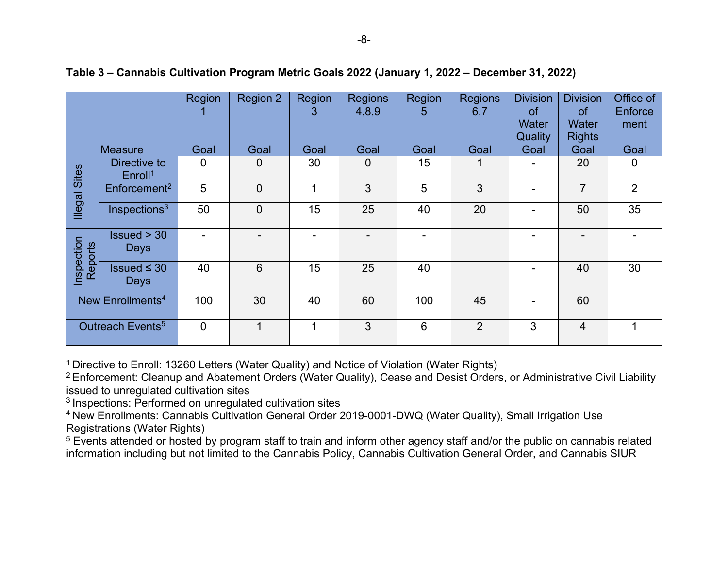|                              |                                     | Region | Region 2       | Region<br>3 | <b>Regions</b><br>4,8,9 | <b>Region</b><br>5 | <b>Regions</b><br>6,7 | <b>Division</b><br><b>of</b><br>Water<br>Quality | <b>Division</b><br><b>of</b><br>Water<br><b>Rights</b> | Office of<br>Enforce<br>ment |
|------------------------------|-------------------------------------|--------|----------------|-------------|-------------------------|--------------------|-----------------------|--------------------------------------------------|--------------------------------------------------------|------------------------------|
|                              | <b>Measure</b>                      | Goal   | Goal           | Goal        | Goal                    | Goal               | Goal                  | Goal                                             | Goal                                                   | Goal                         |
|                              | Directive to<br>Enroll <sup>1</sup> | 0      | 0              | 30          | $\mathbf 0$             | 15                 |                       |                                                  | 20                                                     | 0                            |
| <b>Illegal Sites</b>         | Enforcement <sup>2</sup>            | 5      | $\overline{0}$ | ◢           | 3                       | 5                  | 3                     |                                                  | $\overline{7}$                                         | $\overline{2}$               |
|                              | Inspections $3$                     | 50     | 0              | 15          | 25                      | 40                 | 20                    |                                                  | 50                                                     | 35                           |
| Inspection<br>Reports        | Is sued > 30<br><b>Days</b>         |        |                |             |                         |                    |                       |                                                  |                                                        |                              |
|                              | $\ssued \leq 30$<br><b>Days</b>     | 40     | 6              | 15          | 25                      | 40                 |                       |                                                  | 40                                                     | 30                           |
| New Enrollments <sup>4</sup> |                                     | 100    | 30             | 40          | 60                      | 100                | 45                    |                                                  | 60                                                     |                              |
|                              | Outreach Events <sup>5</sup>        | 0      |                |             | 3                       | $6\phantom{1}6$    | $\overline{2}$        | 3                                                | $\overline{4}$                                         | 1                            |

#### **Table 3 – Cannabis Cultivation Program Metric Goals 2022 (January 1, 2022 – December 31, 2022)**

<sup>1</sup> Directive to Enroll: 13260 Letters (Water Quality) and Notice of Violation (Water Rights)

<sup>2</sup> Enforcement: Cleanup and Abatement Orders (Water Quality), Cease and Desist Orders, or Administrative Civil Liability issued to unregulated cultivation sites

<sup>3</sup> Inspections: Performed on unregulated cultivation sites

<sup>4</sup>New Enrollments: Cannabis Cultivation General Order 2019-0001-DWQ (Water Quality), Small Irrigation Use Registrations (Water Rights)

<sup>5</sup> Events attended or hosted by program staff to train and inform other agency staff and/or the public on cannabis related information including but not limited to the Cannabis Policy, Cannabis Cultivation General Order, and Cannabis SIUR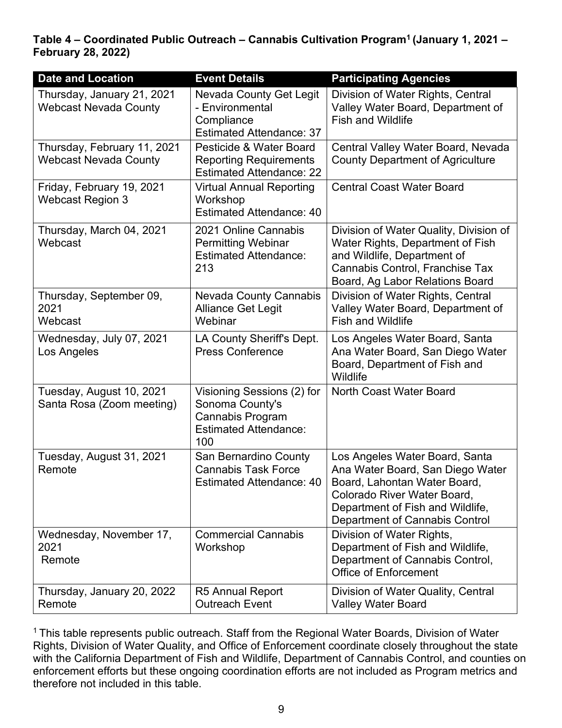**Table 4 – Coordinated Public Outreach – Cannabis Cultivation Program<sup>1</sup>(January 1, 2021 – February 28, 2022)**

| <b>Date and Location</b>                                    | <b>Event Details</b>                                                                                            | <b>Participating Agencies</b>                                                                                                                                                                           |
|-------------------------------------------------------------|-----------------------------------------------------------------------------------------------------------------|---------------------------------------------------------------------------------------------------------------------------------------------------------------------------------------------------------|
| Thursday, January 21, 2021<br><b>Webcast Nevada County</b>  | <b>Nevada County Get Legit</b><br>- Environmental<br>Compliance<br><b>Estimated Attendance: 37</b>              | Division of Water Rights, Central<br>Valley Water Board, Department of<br><b>Fish and Wildlife</b>                                                                                                      |
| Thursday, February 11, 2021<br><b>Webcast Nevada County</b> | Pesticide & Water Board<br><b>Reporting Requirements</b><br><b>Estimated Attendance: 22</b>                     | Central Valley Water Board, Nevada<br><b>County Department of Agriculture</b>                                                                                                                           |
| Friday, February 19, 2021<br><b>Webcast Region 3</b>        | <b>Virtual Annual Reporting</b><br>Workshop<br><b>Estimated Attendance: 40</b>                                  | <b>Central Coast Water Board</b>                                                                                                                                                                        |
| Thursday, March 04, 2021<br>Webcast                         | 2021 Online Cannabis<br><b>Permitting Webinar</b><br><b>Estimated Attendance:</b><br>213                        | Division of Water Quality, Division of<br>Water Rights, Department of Fish<br>and Wildlife, Department of<br>Cannabis Control, Franchise Tax<br>Board, Ag Labor Relations Board                         |
| Thursday, September 09,<br>2021<br>Webcast                  | <b>Nevada County Cannabis</b><br><b>Alliance Get Legit</b><br>Webinar                                           | Division of Water Rights, Central<br>Valley Water Board, Department of<br><b>Fish and Wildlife</b>                                                                                                      |
| Wednesday, July 07, 2021<br>Los Angeles                     | LA County Sheriff's Dept.<br><b>Press Conference</b>                                                            | Los Angeles Water Board, Santa<br>Ana Water Board, San Diego Water<br>Board, Department of Fish and<br>Wildlife                                                                                         |
| Tuesday, August 10, 2021<br>Santa Rosa (Zoom meeting)       | Visioning Sessions (2) for<br>Sonoma County's<br><b>Cannabis Program</b><br><b>Estimated Attendance:</b><br>100 | North Coast Water Board                                                                                                                                                                                 |
| Tuesday, August 31, 2021<br>Remote                          | San Bernardino County<br><b>Cannabis Task Force</b><br><b>Estimated Attendance: 40</b>                          | Los Angeles Water Board, Santa<br>Ana Water Board, San Diego Water<br>Board, Lahontan Water Board,<br>Colorado River Water Board,<br>Department of Fish and Wildlife,<br>Department of Cannabis Control |
| Wednesday, November 17,<br>2021<br>Remote                   | <b>Commercial Cannabis</b><br>Workshop                                                                          | Division of Water Rights,<br>Department of Fish and Wildlife,<br>Department of Cannabis Control,<br><b>Office of Enforcement</b>                                                                        |
| Thursday, January 20, 2022<br>Remote                        | <b>R5 Annual Report</b><br><b>Outreach Event</b>                                                                | Division of Water Quality, Central<br><b>Valley Water Board</b>                                                                                                                                         |

<sup>1</sup> This table represents public outreach. Staff from the Regional Water Boards, Division of Water Rights, Division of Water Quality, and Office of Enforcement coordinate closely throughout the state with the California Department of Fish and Wildlife, Department of Cannabis Control, and counties on enforcement efforts but these ongoing coordination efforts are not included as Program metrics and therefore not included in this table.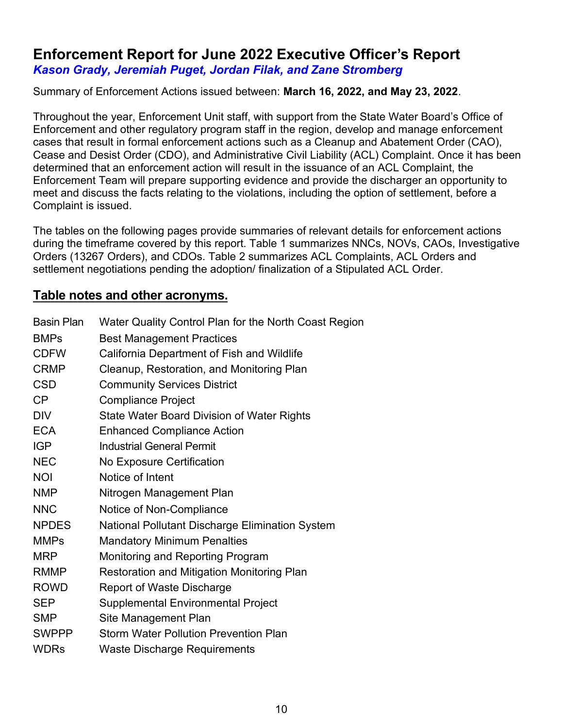# **Enforcement Report for June 2022 Executive Officer's Report** *Kason Grady, Jeremiah Puget, Jordan Filak, and Zane Stromberg*

#### Summary of Enforcement Actions issued between: **March 16, 2022, and May 23, 2022**.

Throughout the year, Enforcement Unit staff, with support from the State Water Board's Office of Enforcement and other regulatory program staff in the region, develop and manage enforcement cases that result in formal enforcement actions such as a Cleanup and Abatement Order (CAO), Cease and Desist Order (CDO), and Administrative Civil Liability (ACL) Complaint. Once it has been determined that an enforcement action will result in the issuance of an ACL Complaint, the Enforcement Team will prepare supporting evidence and provide the discharger an opportunity to meet and discuss the facts relating to the violations, including the option of settlement, before a Complaint is issued.

The tables on the following pages provide summaries of relevant details for enforcement actions during the timeframe covered by this report. Table 1 summarizes NNCs, NOVs, CAOs, Investigative Orders (13267 Orders), and CDOs. Table 2 summarizes ACL Complaints, ACL Orders and settlement negotiations pending the adoption/ finalization of a Stipulated ACL Order.

### **Table notes and other acronyms.**

| <b>Basin Plan</b> | Water Quality Control Plan for the North Coast Region |
|-------------------|-------------------------------------------------------|
| <b>BMPs</b>       | <b>Best Management Practices</b>                      |
| <b>CDFW</b>       | California Department of Fish and Wildlife            |
| <b>CRMP</b>       | Cleanup, Restoration, and Monitoring Plan             |
| <b>CSD</b>        | <b>Community Services District</b>                    |
| CP                | <b>Compliance Project</b>                             |
| <b>DIV</b>        | <b>State Water Board Division of Water Rights</b>     |
| <b>ECA</b>        | <b>Enhanced Compliance Action</b>                     |
| <b>IGP</b>        | <b>Industrial General Permit</b>                      |
| <b>NEC</b>        | No Exposure Certification                             |
| <b>NOI</b>        | Notice of Intent                                      |
| <b>NMP</b>        | Nitrogen Management Plan                              |
| <b>NNC</b>        | Notice of Non-Compliance                              |
| <b>NPDES</b>      | National Pollutant Discharge Elimination System       |
| <b>MMPs</b>       | <b>Mandatory Minimum Penalties</b>                    |
| <b>MRP</b>        | Monitoring and Reporting Program                      |
| RMMP              | <b>Restoration and Mitigation Monitoring Plan</b>     |
| <b>ROWD</b>       | <b>Report of Waste Discharge</b>                      |
| <b>SEP</b>        | <b>Supplemental Environmental Project</b>             |
| <b>SMP</b>        | Site Management Plan                                  |
| <b>SWPPP</b>      | <b>Storm Water Pollution Prevention Plan</b>          |
| <b>WDRs</b>       | <b>Waste Discharge Requirements</b>                   |
|                   |                                                       |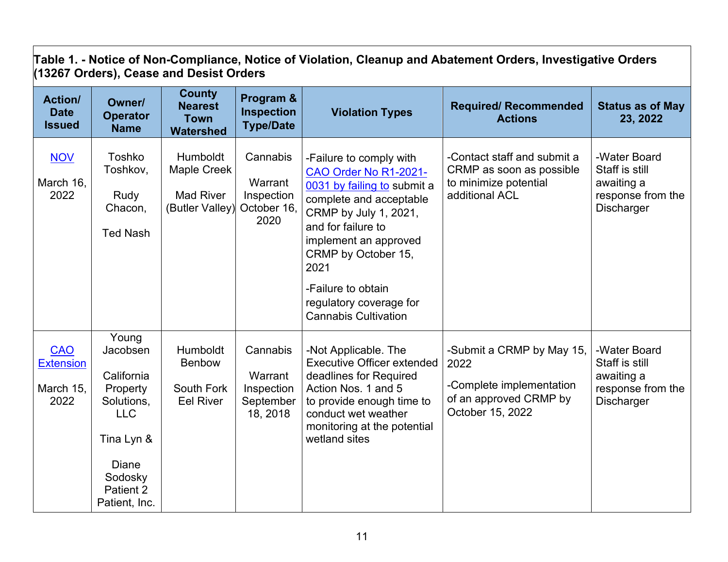| Table 1. - Notice of Non-Compliance, Notice of Violation, Cleanup and Abatement Orders, Investigative Orders<br>(13267 Orders), Cease and Desist Orders |                                                                                                             |                                                                       |                                                          |                                                                                                                                                                                                                                                                    |                                                                                                    |                                                                                        |  |  |  |
|---------------------------------------------------------------------------------------------------------------------------------------------------------|-------------------------------------------------------------------------------------------------------------|-----------------------------------------------------------------------|----------------------------------------------------------|--------------------------------------------------------------------------------------------------------------------------------------------------------------------------------------------------------------------------------------------------------------------|----------------------------------------------------------------------------------------------------|----------------------------------------------------------------------------------------|--|--|--|
| <b>Action/</b><br><b>Date</b><br><b>Issued</b>                                                                                                          | Owner/<br><b>Operator</b><br><b>Name</b>                                                                    | <b>County</b><br><b>Nearest</b><br><b>Town</b><br><b>Watershed</b>    | Program &<br><b>Inspection</b><br><b>Type/Date</b>       | <b>Violation Types</b>                                                                                                                                                                                                                                             | <b>Required/ Recommended</b><br><b>Actions</b>                                                     | <b>Status as of May</b><br>23, 2022                                                    |  |  |  |
| <b>NOV</b><br>March 16,<br>2022                                                                                                                         | Toshko<br>Toshkov,<br>Rudy<br>Chacon,<br><b>Ted Nash</b>                                                    | Humboldt<br><b>Maple Creek</b><br><b>Mad River</b><br>(Butler Valley) | Cannabis<br>Warrant<br>Inspection<br>October 16,<br>2020 | -Failure to comply with<br>CAO Order No R1-2021-<br>0031 by failing to submit a<br>complete and acceptable<br>CRMP by July 1, 2021,<br>and for failure to<br>implement an approved<br>CRMP by October 15,<br>2021<br>-Failure to obtain<br>regulatory coverage for | -Contact staff and submit a<br>CRMP as soon as possible<br>to minimize potential<br>additional ACL | -Water Board<br>Staff is still<br>awaiting a<br>response from the<br><b>Discharger</b> |  |  |  |
| <b>CAO</b><br><b>Extension</b>                                                                                                                          | Young<br>Jacobsen<br>California                                                                             | Humboldt<br><b>Benbow</b>                                             | Cannabis<br>Warrant                                      | <b>Cannabis Cultivation</b><br>-Not Applicable. The<br><b>Executive Officer extended</b><br>deadlines for Required                                                                                                                                                 | -Submit a CRMP by May 15,<br>2022<br>-Complete implementation                                      | -Water Board<br>Staff is still<br>awaiting a                                           |  |  |  |
| March 15,<br>2022                                                                                                                                       | Property<br>Solutions,<br><b>LLC</b><br>Tina Lyn &<br><b>Diane</b><br>Sodosky<br>Patient 2<br>Patient, Inc. | South Fork<br><b>Eel River</b>                                        | Inspection<br>September<br>18, 2018                      | Action Nos. 1 and 5<br>to provide enough time to<br>conduct wet weather<br>monitoring at the potential<br>wetland sites                                                                                                                                            | of an approved CRMP by<br>October 15, 2022                                                         | response from the<br><b>Discharger</b>                                                 |  |  |  |

┐

 $\Gamma$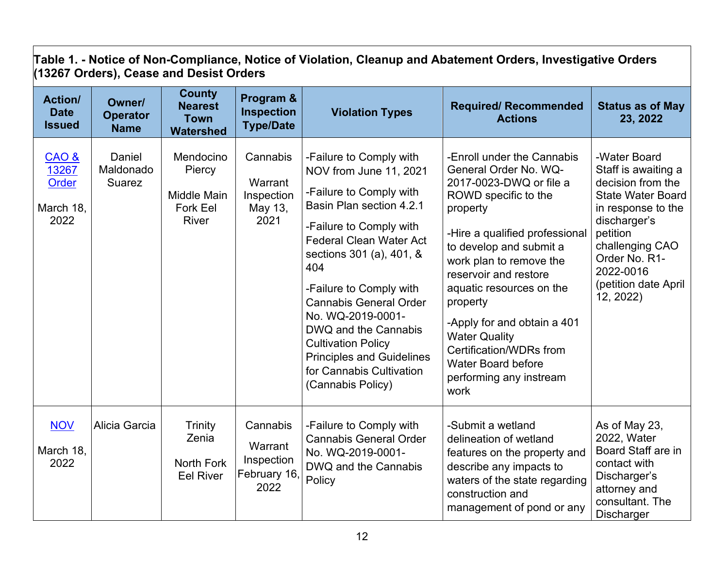|                                                | (13267 Orders), Cease and Desist Orders  |                                                                              |                                                           |                                                                                                                                                                                                                                                                                                                                                                                                                                     |                                                                                                                                                                                                                                                                                                                                                                                                                               |                                                                                                                                                                                                                              |  |  |  |  |  |
|------------------------------------------------|------------------------------------------|------------------------------------------------------------------------------|-----------------------------------------------------------|-------------------------------------------------------------------------------------------------------------------------------------------------------------------------------------------------------------------------------------------------------------------------------------------------------------------------------------------------------------------------------------------------------------------------------------|-------------------------------------------------------------------------------------------------------------------------------------------------------------------------------------------------------------------------------------------------------------------------------------------------------------------------------------------------------------------------------------------------------------------------------|------------------------------------------------------------------------------------------------------------------------------------------------------------------------------------------------------------------------------|--|--|--|--|--|
| <b>Action/</b><br><b>Date</b><br><b>Issued</b> | Owner/<br><b>Operator</b><br><b>Name</b> | <b>County</b><br><b>Nearest</b><br><b>Town</b><br><b>Watershed</b>           | Program &<br><b>Inspection</b><br><b>Type/Date</b>        | <b>Violation Types</b>                                                                                                                                                                                                                                                                                                                                                                                                              | <b>Required/ Recommended</b><br><b>Actions</b>                                                                                                                                                                                                                                                                                                                                                                                | <b>Status as of May</b><br>23, 2022                                                                                                                                                                                          |  |  |  |  |  |
| $CAO$ &<br>13267<br>Order<br>March 18,<br>2022 | Daniel<br>Maldonado<br>Suarez            | Mendocino<br>Piercy<br><b>Middle Main</b><br><b>Fork Eel</b><br><b>River</b> | Cannabis<br>Warrant<br>Inspection<br>May 13,<br>2021      | -Failure to Comply with<br>NOV from June 11, 2021<br>-Failure to Comply with<br>Basin Plan section 4.2.1<br>-Failure to Comply with<br><b>Federal Clean Water Act</b><br>sections 301 (a), 401, &<br>404<br>-Failure to Comply with<br><b>Cannabis General Order</b><br>No. WQ-2019-0001-<br>DWQ and the Cannabis<br><b>Cultivation Policy</b><br><b>Principles and Guidelines</b><br>for Cannabis Cultivation<br>(Cannabis Policy) | -Enroll under the Cannabis<br>General Order No. WQ-<br>2017-0023-DWQ or file a<br>ROWD specific to the<br>property<br>-Hire a qualified professional<br>to develop and submit a<br>work plan to remove the<br>reservoir and restore<br>aquatic resources on the<br>property<br>-Apply for and obtain a 401<br><b>Water Quality</b><br>Certification/WDRs from<br><b>Water Board before</b><br>performing any instream<br>work | -Water Board<br>Staff is awaiting a<br>decision from the<br><b>State Water Board</b><br>in response to the<br>discharger's<br>petition<br>challenging CAO<br>Order No. R1-<br>2022-0016<br>(petition date April<br>12, 2022) |  |  |  |  |  |
| <b>NOV</b><br>March 18,<br>2022                | Alicia Garcia                            | <b>Trinity</b><br>Zenia<br><b>North Fork</b><br><b>Eel River</b>             | Cannabis<br>Warrant<br>Inspection<br>February 16,<br>2022 | -Failure to Comply with<br><b>Cannabis General Order</b><br>No. WQ-2019-0001-<br>DWQ and the Cannabis<br>Policy                                                                                                                                                                                                                                                                                                                     | -Submit a wetland<br>delineation of wetland<br>features on the property and<br>describe any impacts to<br>waters of the state regarding<br>construction and<br>management of pond or any                                                                                                                                                                                                                                      | As of May 23,<br>2022, Water<br>Board Staff are in<br>contact with<br>Discharger's<br>attorney and<br>consultant. The<br>Discharger                                                                                          |  |  |  |  |  |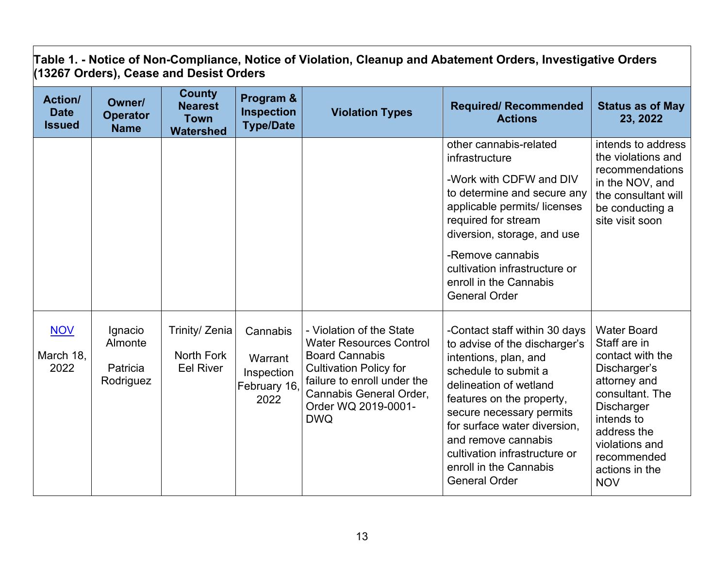**Table 1. - Notice of Non-Compliance, Notice of Violation, Cleanup and Abatement Orders, Investigative Orders (13267 Orders), Cease and Desist Orders**

| <b>Action/</b><br><b>Date</b><br><b>Issued</b> | Owner/<br><b>Operator</b><br><b>Name</b>    | <b>County</b><br><b>Nearest</b><br><b>Town</b><br><b>Watershed</b> | Program &<br><b>Inspection</b><br><b>Type/Date</b>        | <b>Violation Types</b>                                                                                                                                                                                              | <b>Required/ Recommended</b><br><b>Actions</b>                                                                                                                                                                                                                                                                                               | <b>Status as of May</b><br>23, 2022                                                                                                                                                                                          |
|------------------------------------------------|---------------------------------------------|--------------------------------------------------------------------|-----------------------------------------------------------|---------------------------------------------------------------------------------------------------------------------------------------------------------------------------------------------------------------------|----------------------------------------------------------------------------------------------------------------------------------------------------------------------------------------------------------------------------------------------------------------------------------------------------------------------------------------------|------------------------------------------------------------------------------------------------------------------------------------------------------------------------------------------------------------------------------|
|                                                |                                             |                                                                    |                                                           |                                                                                                                                                                                                                     | other cannabis-related<br>infrastructure<br>-Work with CDFW and DIV<br>to determine and secure any<br>applicable permits/licenses<br>required for stream<br>diversion, storage, and use<br>-Remove cannabis<br>cultivation infrastructure or<br>enroll in the Cannabis<br><b>General Order</b>                                               | intends to address<br>the violations and<br>recommendations<br>in the NOV, and<br>the consultant will<br>be conducting a<br>site visit soon                                                                                  |
| <b>NOV</b><br>March 18,<br>2022                | Ignacio<br>Almonte<br>Patricia<br>Rodriguez | Trinity/ Zenia<br>North Fork<br><b>Eel River</b>                   | Cannabis<br>Warrant<br>Inspection<br>February 16,<br>2022 | - Violation of the State<br><b>Water Resources Control</b><br><b>Board Cannabis</b><br><b>Cultivation Policy for</b><br>failure to enroll under the<br>Cannabis General Order,<br>Order WQ 2019-0001-<br><b>DWQ</b> | -Contact staff within 30 days<br>to advise of the discharger's<br>intentions, plan, and<br>schedule to submit a<br>delineation of wetland<br>features on the property,<br>secure necessary permits<br>for surface water diversion,<br>and remove cannabis<br>cultivation infrastructure or<br>enroll in the Cannabis<br><b>General Order</b> | <b>Water Board</b><br>Staff are in<br>contact with the<br>Discharger's<br>attorney and<br>consultant. The<br><b>Discharger</b><br>intends to<br>address the<br>violations and<br>recommended<br>actions in the<br><b>NOV</b> |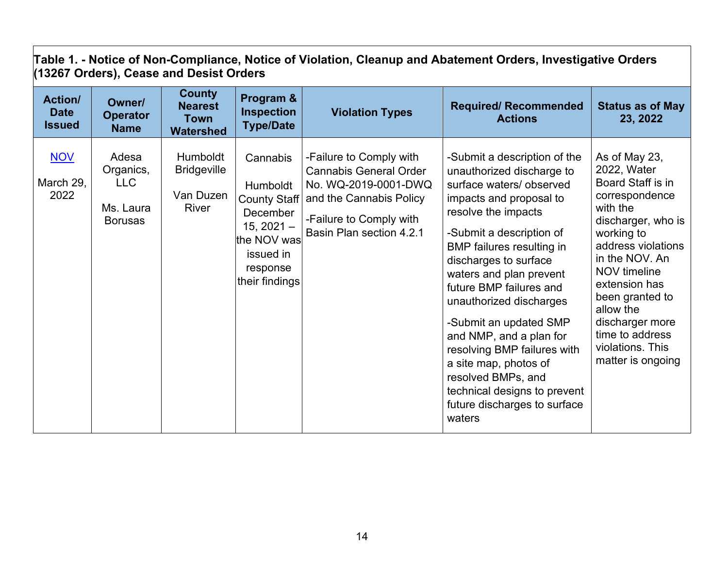|                                                | (13267 Orders), Cease and Desist Orders                         |                                                                    |                                                                                                                                   |                                                                                                                                                                    |                                                                                                                                                                                                                                                                                                                                                                                                                                                                                                                               |                                                                                                                                                                                                                                                                                                                    |  |  |  |  |  |
|------------------------------------------------|-----------------------------------------------------------------|--------------------------------------------------------------------|-----------------------------------------------------------------------------------------------------------------------------------|--------------------------------------------------------------------------------------------------------------------------------------------------------------------|-------------------------------------------------------------------------------------------------------------------------------------------------------------------------------------------------------------------------------------------------------------------------------------------------------------------------------------------------------------------------------------------------------------------------------------------------------------------------------------------------------------------------------|--------------------------------------------------------------------------------------------------------------------------------------------------------------------------------------------------------------------------------------------------------------------------------------------------------------------|--|--|--|--|--|
| <b>Action/</b><br><b>Date</b><br><b>Issued</b> | Owner/<br><b>Operator</b><br><b>Name</b>                        | <b>County</b><br><b>Nearest</b><br><b>Town</b><br><b>Watershed</b> | Program &<br><b>Inspection</b><br><b>Type/Date</b>                                                                                | <b>Violation Types</b>                                                                                                                                             | <b>Required/ Recommended</b><br><b>Actions</b>                                                                                                                                                                                                                                                                                                                                                                                                                                                                                | <b>Status as of May</b><br>23, 2022                                                                                                                                                                                                                                                                                |  |  |  |  |  |
| <b>NOV</b><br>March 29,<br>2022                | Adesa<br>Organics,<br><b>LLC</b><br>Ms. Laura<br><b>Borusas</b> | <b>Humboldt</b><br><b>Bridgeville</b><br>Van Duzen<br>River        | Cannabis<br>Humboldt<br><b>County Staff</b><br>December<br>$15, 2021 -$<br>the NOV was<br>issued in<br>response<br>their findings | -Failure to Comply with<br><b>Cannabis General Order</b><br>No. WQ-2019-0001-DWQ<br>and the Cannabis Policy<br>-Failure to Comply with<br>Basin Plan section 4.2.1 | -Submit a description of the<br>unauthorized discharge to<br>surface waters/observed<br>impacts and proposal to<br>resolve the impacts<br>-Submit a description of<br><b>BMP</b> failures resulting in<br>discharges to surface<br>waters and plan prevent<br>future BMP failures and<br>unauthorized discharges<br>-Submit an updated SMP<br>and NMP, and a plan for<br>resolving BMP failures with<br>a site map, photos of<br>resolved BMPs, and<br>technical designs to prevent<br>future discharges to surface<br>waters | As of May 23,<br>2022, Water<br>Board Staff is in<br>correspondence<br>with the<br>discharger, who is<br>working to<br>address violations<br>in the NOV. An<br><b>NOV</b> timeline<br>extension has<br>been granted to<br>allow the<br>discharger more<br>time to address<br>violations. This<br>matter is ongoing |  |  |  |  |  |

**Table 1. - Notice of Non-Compliance, Notice of Violation, Cleanup and Abatement Orders, Investigative Orders (13267 Orders), Cease and Desist Orders**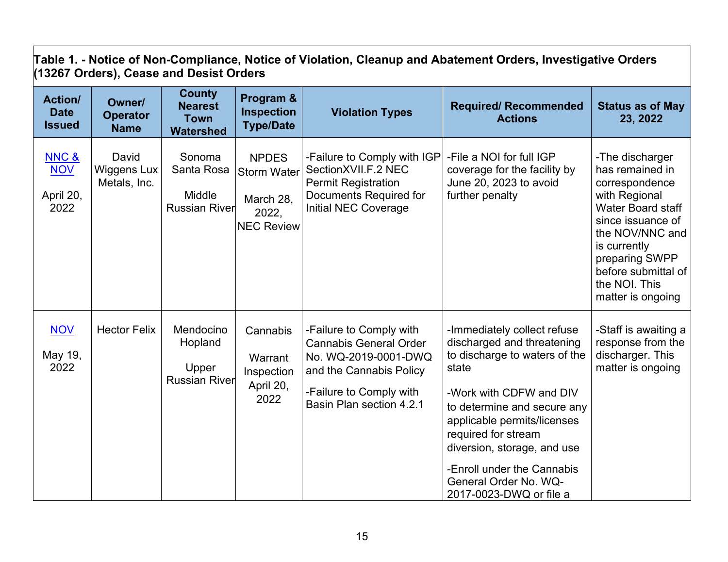| Table 1. - Notice of Non-Compliance, Notice of Violation, Cleanup and Abatement Orders, Investigative Orders<br>(13267 Orders), Cease and Desist Orders |                                             |                                                                    |                                                                               |                                                                                                                                                                    |                                                                                                                                                                                                                                                                                                                                      |                                                                                                                                                                                                                                   |  |  |  |
|---------------------------------------------------------------------------------------------------------------------------------------------------------|---------------------------------------------|--------------------------------------------------------------------|-------------------------------------------------------------------------------|--------------------------------------------------------------------------------------------------------------------------------------------------------------------|--------------------------------------------------------------------------------------------------------------------------------------------------------------------------------------------------------------------------------------------------------------------------------------------------------------------------------------|-----------------------------------------------------------------------------------------------------------------------------------------------------------------------------------------------------------------------------------|--|--|--|
| <b>Action/</b><br><b>Date</b><br><b>Issued</b>                                                                                                          | Owner/<br><b>Operator</b><br><b>Name</b>    | <b>County</b><br><b>Nearest</b><br><b>Town</b><br><b>Watershed</b> | Program &<br><b>Inspection</b><br><b>Type/Date</b>                            | <b>Violation Types</b>                                                                                                                                             | <b>Required/ Recommended</b><br><b>Actions</b>                                                                                                                                                                                                                                                                                       | <b>Status as of May</b><br>23, 2022                                                                                                                                                                                               |  |  |  |
| NNC &<br><b>NOV</b><br>April 20,<br>2022                                                                                                                | David<br><b>Wiggens Lux</b><br>Metals, Inc. | Sonoma<br>Santa Rosa<br>Middle<br><b>Russian River</b>             | <b>NPDES</b><br><b>Storm Water</b><br>March 28,<br>2022,<br><b>NEC Review</b> | -Failure to Comply with IGP<br>SectionXVII.F.2 NEC<br><b>Permit Registration</b><br>Documents Required for<br><b>Initial NEC Coverage</b>                          | -File a NOI for full IGP<br>coverage for the facility by<br>June 20, 2023 to avoid<br>further penalty                                                                                                                                                                                                                                | -The discharger<br>has remained in<br>correspondence<br>with Regional<br>Water Board staff<br>since issuance of<br>the NOV/NNC and<br>is currently<br>preparing SWPP<br>before submittal of<br>the NOI. This<br>matter is ongoing |  |  |  |
| <b>NOV</b><br>May 19,<br>2022                                                                                                                           | <b>Hector Felix</b>                         | Mendocino<br>Hopland<br>Upper<br><b>Russian River</b>              | Cannabis<br>Warrant<br>Inspection<br>April 20,<br>2022                        | -Failure to Comply with<br><b>Cannabis General Order</b><br>No. WQ-2019-0001-DWQ<br>and the Cannabis Policy<br>-Failure to Comply with<br>Basin Plan section 4.2.1 | -Immediately collect refuse<br>discharged and threatening<br>to discharge to waters of the<br>state<br>-Work with CDFW and DIV<br>to determine and secure any<br>applicable permits/licenses<br>required for stream<br>diversion, storage, and use<br>-Enroll under the Cannabis<br>General Order No. WQ-<br>2017-0023-DWQ or file a | -Staff is awaiting a<br>response from the<br>discharger. This<br>matter is ongoing                                                                                                                                                |  |  |  |

┑

 $\mathbf{r}$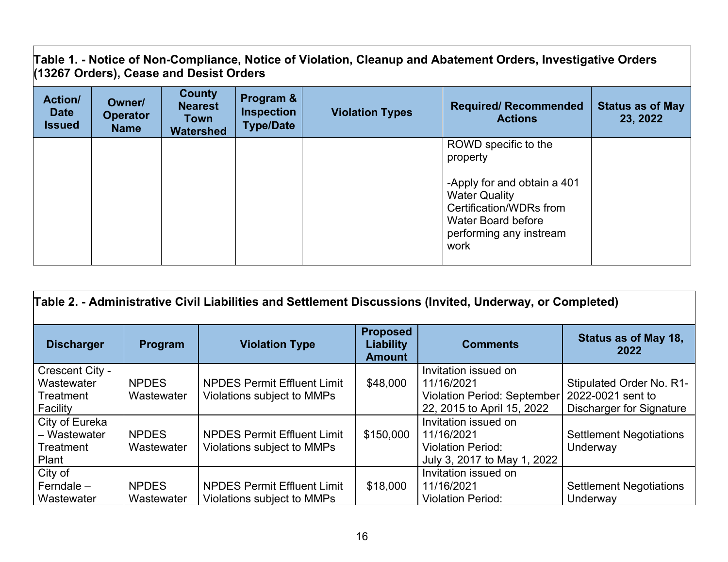**Table 1. - Notice of Non-Compliance, Notice of Violation, Cleanup and Abatement Orders, Investigative Orders (13267 Orders), Cease and Desist Orders**

| <b>Action/</b><br><b>Date</b><br><b>Issued</b> | Owner/<br><b>Operator</b><br><b>Name</b> | <b>County</b><br><b>Nearest</b><br>Town<br><b>Watershed</b> | Program &<br><b>Inspection</b><br><b>Type/Date</b> | <b>Violation Types</b> | <b>Required/ Recommended</b><br><b>Actions</b>                                                                                                                                     | <b>Status as of May</b><br>23, 2022 |
|------------------------------------------------|------------------------------------------|-------------------------------------------------------------|----------------------------------------------------|------------------------|------------------------------------------------------------------------------------------------------------------------------------------------------------------------------------|-------------------------------------|
|                                                |                                          |                                                             |                                                    |                        | ROWD specific to the<br>property<br>-Apply for and obtain a 401<br><b>Water Quality</b><br>Certification/WDRs from<br><b>Water Board before</b><br>performing any instream<br>work |                                     |

| Table 2. - Administrative Civil Liabilities and Settlement Discussions (Invited, Underway, or Completed) |                            |                                                                  |                                                      |                                                                                                 |                                                                                  |  |
|----------------------------------------------------------------------------------------------------------|----------------------------|------------------------------------------------------------------|------------------------------------------------------|-------------------------------------------------------------------------------------------------|----------------------------------------------------------------------------------|--|
| <b>Discharger</b>                                                                                        | Program                    | <b>Violation Type</b>                                            | <b>Proposed</b><br><b>Liability</b><br><b>Amount</b> | <b>Comments</b>                                                                                 | Status as of May 18,<br>2022                                                     |  |
| Crescent City -<br>Wastewater<br>Treatment<br>Facility                                                   | <b>NPDES</b><br>Wastewater | <b>NPDES Permit Effluent Limit</b><br>Violations subject to MMPs | \$48,000                                             | Invitation issued on<br>11/16/2021<br>Violation Period: September<br>22, 2015 to April 15, 2022 | Stipulated Order No. R1-<br>2022-0021 sent to<br><b>Discharger for Signature</b> |  |
| City of Eureka<br>- Wastewater<br>Treatment<br>Plant                                                     | <b>NPDES</b><br>Wastewater | <b>NPDES Permit Effluent Limit</b><br>Violations subject to MMPs | \$150,000                                            | Invitation issued on<br>11/16/2021<br><b>Violation Period:</b><br>July 3, 2017 to May 1, 2022   | <b>Settlement Negotiations</b><br>Underway                                       |  |
| City of<br>Ferndale $-$<br>Wastewater                                                                    | <b>NPDES</b><br>Wastewater | <b>NPDES Permit Effluent Limit</b><br>Violations subject to MMPs | \$18,000                                             | Invitation issued on<br>11/16/2021<br><b>Violation Period:</b>                                  | <b>Settlement Negotiations</b><br>Underway                                       |  |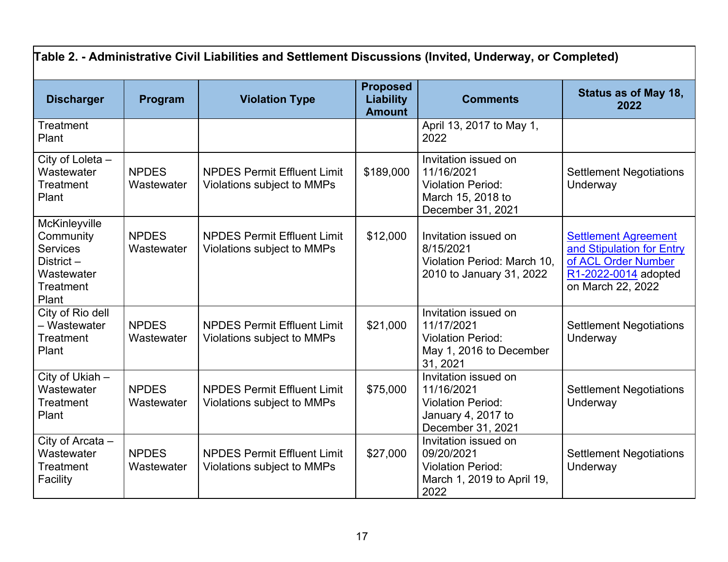| Table 2. - Administrative Civil Liabilities and Settlement Discussions (Invited, Underway, or Completed) |                            |                                                                  |                                                      |                                                                                                           |                                                                                                                              |
|----------------------------------------------------------------------------------------------------------|----------------------------|------------------------------------------------------------------|------------------------------------------------------|-----------------------------------------------------------------------------------------------------------|------------------------------------------------------------------------------------------------------------------------------|
| <b>Discharger</b>                                                                                        | Program                    | <b>Violation Type</b>                                            | <b>Proposed</b><br><b>Liability</b><br><b>Amount</b> | <b>Comments</b>                                                                                           | <b>Status as of May 18,</b><br>2022                                                                                          |
| <b>Treatment</b><br>Plant                                                                                |                            |                                                                  |                                                      | April 13, 2017 to May 1,<br>2022                                                                          |                                                                                                                              |
| City of Loleta -<br>Wastewater<br><b>Treatment</b><br>Plant                                              | <b>NPDES</b><br>Wastewater | <b>NPDES Permit Effluent Limit</b><br>Violations subject to MMPs | \$189,000                                            | Invitation issued on<br>11/16/2021<br><b>Violation Period:</b><br>March 15, 2018 to<br>December 31, 2021  | <b>Settlement Negotiations</b><br>Underway                                                                                   |
| McKinleyville<br>Community<br><b>Services</b><br>District-<br>Wastewater<br>Treatment<br>Plant           | <b>NPDES</b><br>Wastewater | <b>NPDES Permit Effluent Limit</b><br>Violations subject to MMPs | \$12,000                                             | Invitation issued on<br>8/15/2021<br>Violation Period: March 10,<br>2010 to January 31, 2022              | <b>Settlement Agreement</b><br>and Stipulation for Entry<br>of ACL Order Number<br>R1-2022-0014 adopted<br>on March 22, 2022 |
| City of Rio dell<br>- Wastewater<br>Treatment<br>Plant                                                   | <b>NPDES</b><br>Wastewater | <b>NPDES Permit Effluent Limit</b><br>Violations subject to MMPs | \$21,000                                             | Invitation issued on<br>11/17/2021<br><b>Violation Period:</b><br>May 1, 2016 to December<br>31, 2021     | <b>Settlement Negotiations</b><br>Underway                                                                                   |
| $\overline{City}$ of Ukiah $-$<br>Wastewater<br><b>Treatment</b><br>Plant                                | <b>NPDES</b><br>Wastewater | <b>NPDES Permit Effluent Limit</b><br>Violations subject to MMPs | \$75,000                                             | Invitation issued on<br>11/16/2021<br><b>Violation Period:</b><br>January 4, 2017 to<br>December 31, 2021 | <b>Settlement Negotiations</b><br>Underway                                                                                   |
| City of Arcata -<br>Wastewater<br><b>Treatment</b><br>Facility                                           | <b>NPDES</b><br>Wastewater | <b>NPDES Permit Effluent Limit</b><br>Violations subject to MMPs | \$27,000                                             | Invitation issued on<br>09/20/2021<br><b>Violation Period:</b><br>March 1, 2019 to April 19,<br>2022      | <b>Settlement Negotiations</b><br>Underway                                                                                   |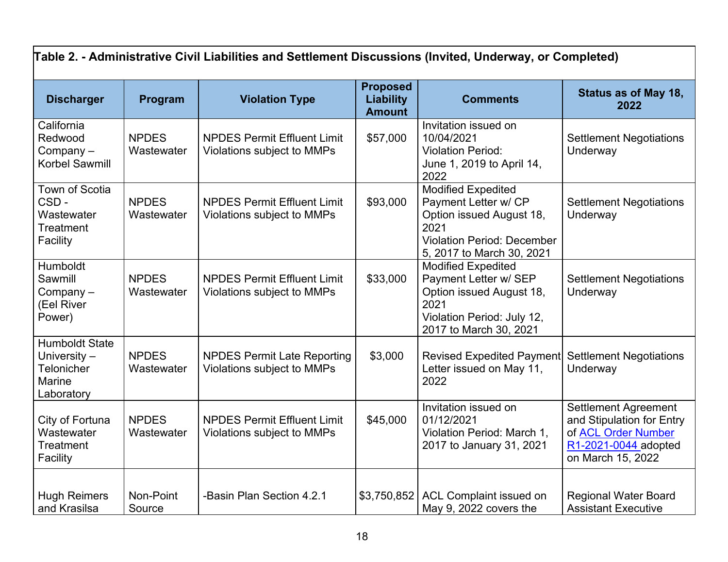| Table 2. - Administrative Civil Liabilities and Settlement Discussions (Invited, Underway, or Completed) |                            |                                                                         |                                                      |                                                                                                                                                         |                                                                                                                              |
|----------------------------------------------------------------------------------------------------------|----------------------------|-------------------------------------------------------------------------|------------------------------------------------------|---------------------------------------------------------------------------------------------------------------------------------------------------------|------------------------------------------------------------------------------------------------------------------------------|
| <b>Discharger</b>                                                                                        | Program                    | <b>Violation Type</b>                                                   | <b>Proposed</b><br><b>Liability</b><br><b>Amount</b> | <b>Comments</b>                                                                                                                                         | Status as of May 18,<br>2022                                                                                                 |
| California<br>Redwood<br>Company $-$<br>Korbel Sawmill                                                   | <b>NPDES</b><br>Wastewater | <b>NPDES Permit Effluent Limit</b><br>Violations subject to MMPs        | \$57,000                                             | Invitation issued on<br>10/04/2021<br><b>Violation Period:</b><br>June 1, 2019 to April 14,<br>2022                                                     | <b>Settlement Negotiations</b><br>Underway                                                                                   |
| <b>Town of Scotia</b><br>CSD-<br>Wastewater<br>Treatment<br>Facility                                     | <b>NPDES</b><br>Wastewater | <b>NPDES Permit Effluent Limit</b><br>Violations subject to MMPs        | \$93,000                                             | <b>Modified Expedited</b><br>Payment Letter w/ CP<br>Option issued August 18,<br>2021<br><b>Violation Period: December</b><br>5, 2017 to March 30, 2021 | <b>Settlement Negotiations</b><br>Underway                                                                                   |
| Humboldt<br>Sawmill<br>$Company -$<br>(Eel River<br>Power)                                               | <b>NPDES</b><br>Wastewater | <b>NPDES Permit Effluent Limit</b><br>Violations subject to MMPs        | \$33,000                                             | <b>Modified Expedited</b><br>Payment Letter w/ SEP<br>Option issued August 18,<br>2021<br>Violation Period: July 12,<br>2017 to March 30, 2021          | <b>Settlement Negotiations</b><br>Underway                                                                                   |
| <b>Humboldt State</b><br>University $-$<br>Telonicher<br><b>Marine</b><br>Laboratory                     | <b>NPDES</b><br>Wastewater | <b>NPDES Permit Late Reporting</b><br><b>Violations subject to MMPs</b> | \$3,000                                              | <b>Revised Expedited Payment</b><br>Letter issued on May 11,<br>2022                                                                                    | <b>Settlement Negotiations</b><br>Underway                                                                                   |
| City of Fortuna<br>Wastewater<br><b>Treatment</b><br>Facility                                            | <b>NPDES</b><br>Wastewater | <b>NPDES Permit Effluent Limit</b><br>Violations subject to MMPs        | \$45,000                                             | Invitation issued on<br>01/12/2021<br>Violation Period: March 1,<br>2017 to January 31, 2021                                                            | <b>Settlement Agreement</b><br>and Stipulation for Entry<br>of ACL Order Number<br>R1-2021-0044 adopted<br>on March 15, 2022 |
| <b>Hugh Reimers</b><br>and Krasilsa                                                                      | Non-Point<br>Source        | -Basin Plan Section 4.2.1                                               | \$3,750,852                                          | <b>ACL Complaint issued on</b><br>May 9, 2022 covers the                                                                                                | <b>Regional Water Board</b><br><b>Assistant Executive</b>                                                                    |

 $\blacksquare$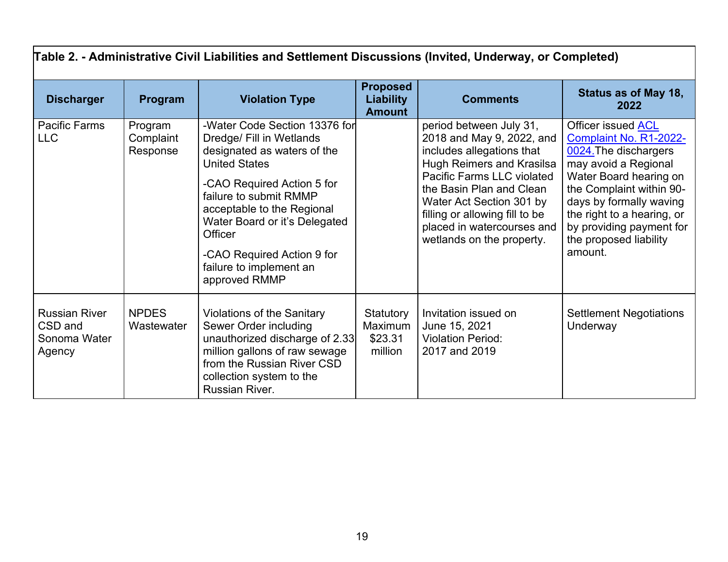| Table 2. - Administrative Civil Liabilities and Settlement Discussions (Invited, Underway, or Completed) |                                  |                                                                                                                                                                                                                                                                                                                              |                                                      |                                                                                                                                                                                                                                                                                                                 |                                                                                                                                                                                                                                                                               |
|----------------------------------------------------------------------------------------------------------|----------------------------------|------------------------------------------------------------------------------------------------------------------------------------------------------------------------------------------------------------------------------------------------------------------------------------------------------------------------------|------------------------------------------------------|-----------------------------------------------------------------------------------------------------------------------------------------------------------------------------------------------------------------------------------------------------------------------------------------------------------------|-------------------------------------------------------------------------------------------------------------------------------------------------------------------------------------------------------------------------------------------------------------------------------|
| <b>Discharger</b>                                                                                        | Program                          | <b>Violation Type</b>                                                                                                                                                                                                                                                                                                        | <b>Proposed</b><br><b>Liability</b><br><b>Amount</b> | <b>Comments</b>                                                                                                                                                                                                                                                                                                 | Status as of May 18,<br>2022                                                                                                                                                                                                                                                  |
| Pacific Farms<br><b>LLC</b>                                                                              | Program<br>Complaint<br>Response | -Water Code Section 13376 for<br>Dredge/ Fill in Wetlands<br>designated as waters of the<br><b>United States</b><br>-CAO Required Action 5 for<br>failure to submit RMMP<br>acceptable to the Regional<br>Water Board or it's Delegated<br>Officer<br>-CAO Required Action 9 for<br>failure to implement an<br>approved RMMP |                                                      | period between July 31,<br>2018 and May 9, 2022, and<br>includes allegations that<br><b>Hugh Reimers and Krasilsa</b><br><b>Pacific Farms LLC violated</b><br>the Basin Plan and Clean<br>Water Act Section 301 by<br>filling or allowing fill to be<br>placed in watercourses and<br>wetlands on the property. | Officer issued ACL<br>Complaint No. R1-2022-<br>0024. The dischargers<br>may avoid a Regional<br>Water Board hearing on<br>the Complaint within 90-<br>days by formally waving<br>the right to a hearing, or<br>by providing payment for<br>the proposed liability<br>amount. |
| <b>Russian River</b><br>CSD and<br>Sonoma Water<br>Agency                                                | <b>NPDES</b><br>Wastewater       | <b>Violations of the Sanitary</b><br>Sewer Order including<br>unauthorized discharge of 2.33<br>million gallons of raw sewage<br>from the Russian River CSD<br>collection system to the<br>Russian River.                                                                                                                    | Statutory<br>Maximum<br>\$23.31<br>million           | Invitation issued on<br>June 15, 2021<br><b>Violation Period:</b><br>2017 and 2019                                                                                                                                                                                                                              | <b>Settlement Negotiations</b><br>Underway                                                                                                                                                                                                                                    |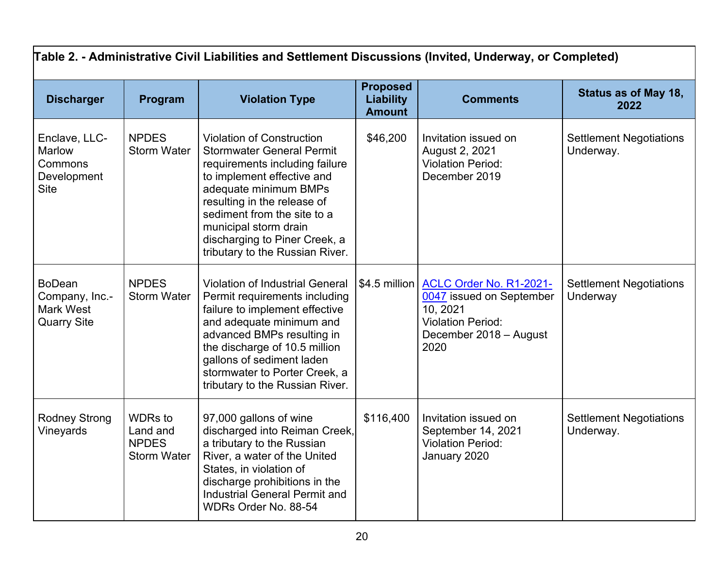| Table 2. - Administrative Civil Liabilities and Settlement Discussions (Invited, Underway, or Completed) |                                                                  |                                                                                                                                                                                                                                                                                                                          |                                                      |                                                                                                                                             |                                             |
|----------------------------------------------------------------------------------------------------------|------------------------------------------------------------------|--------------------------------------------------------------------------------------------------------------------------------------------------------------------------------------------------------------------------------------------------------------------------------------------------------------------------|------------------------------------------------------|---------------------------------------------------------------------------------------------------------------------------------------------|---------------------------------------------|
| <b>Discharger</b>                                                                                        | Program                                                          | <b>Violation Type</b>                                                                                                                                                                                                                                                                                                    | <b>Proposed</b><br><b>Liability</b><br><b>Amount</b> | <b>Comments</b>                                                                                                                             | Status as of May 18,<br>2022                |
| Enclave, LLC-<br>Marlow<br>Commons<br>Development<br><b>Site</b>                                         | <b>NPDES</b><br><b>Storm Water</b>                               | <b>Violation of Construction</b><br><b>Stormwater General Permit</b><br>requirements including failure<br>to implement effective and<br>adequate minimum BMPs<br>resulting in the release of<br>sediment from the site to a<br>municipal storm drain<br>discharging to Piner Creek, a<br>tributary to the Russian River. | \$46,200                                             | Invitation issued on<br>August 2, 2021<br><b>Violation Period:</b><br>December 2019                                                         | <b>Settlement Negotiations</b><br>Underway. |
| <b>BoDean</b><br>Company, Inc.-<br><b>Mark West</b><br><b>Quarry Site</b>                                | <b>NPDES</b><br><b>Storm Water</b>                               | <b>Violation of Industrial General</b><br>Permit requirements including<br>failure to implement effective<br>and adequate minimum and<br>advanced BMPs resulting in<br>the discharge of 10.5 million<br>gallons of sediment laden<br>stormwater to Porter Creek, a<br>tributary to the Russian River.                    |                                                      | \$4.5 million ACLC Order No. R1-2021-<br>0047 issued on September<br>10, 2021<br><b>Violation Period:</b><br>December 2018 - August<br>2020 | <b>Settlement Negotiations</b><br>Underway  |
| <b>Rodney Strong</b><br>Vineyards                                                                        | <b>WDRs</b> to<br>Land and<br><b>NPDES</b><br><b>Storm Water</b> | 97,000 gallons of wine<br>discharged into Reiman Creek,<br>a tributary to the Russian<br>River, a water of the United<br>States, in violation of<br>discharge prohibitions in the<br><b>Industrial General Permit and</b><br>WDRs Order No. 88-54                                                                        | \$116,400                                            | Invitation issued on<br>September 14, 2021<br><b>Violation Period:</b><br>January 2020                                                      | <b>Settlement Negotiations</b><br>Underway. |

# 20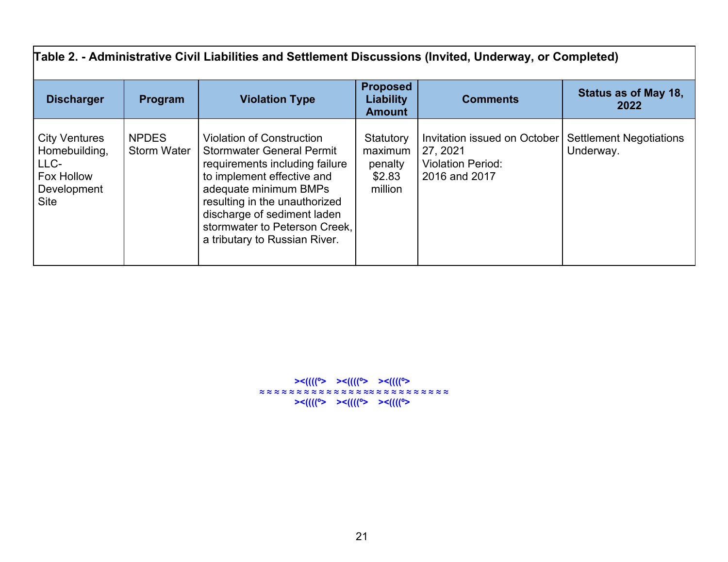| Table 2. - Administrative Civil Liabilities and Settlement Discussions (Invited, Underway, or Completed) |                                    |                                                                                                                                                                                                                                                                                                 |                                                      |                                                                                              |                                             |  |
|----------------------------------------------------------------------------------------------------------|------------------------------------|-------------------------------------------------------------------------------------------------------------------------------------------------------------------------------------------------------------------------------------------------------------------------------------------------|------------------------------------------------------|----------------------------------------------------------------------------------------------|---------------------------------------------|--|
| <b>Discharger</b>                                                                                        | Program                            | <b>Violation Type</b>                                                                                                                                                                                                                                                                           | <b>Proposed</b><br><b>Liability</b><br><b>Amount</b> | <b>Comments</b>                                                                              | Status as of May 18,<br>2022                |  |
| <b>City Ventures</b><br>Homebuilding,<br>LLC-<br>Fox Hollow<br>Development<br>Site                       | <b>NPDES</b><br><b>Storm Water</b> | <b>Violation of Construction</b><br><b>Stormwater General Permit</b><br>requirements including failure<br>to implement effective and<br>adequate minimum BMPs<br>resulting in the unauthorized<br>discharge of sediment laden<br>stormwater to Peterson Creek,<br>a tributary to Russian River. | Statutory<br>maximum<br>penalty<br>\$2.83<br>million | <b>Invitation issued on October</b><br>27, 2021<br><b>Violation Period:</b><br>2016 and 2017 | <b>Settlement Negotiations</b><br>Underway. |  |

 **><((((º> ><((((º> ><((((º> ≈ ≈ ≈ ≈ ≈ ≈ ≈ ≈ ≈ ≈ ≈ ≈ ≈ ≈ ≈≈ ≈ ≈ ≈ ≈ ≈ ≈ ≈ ≈ ≈ ≈ ><((((º> ><((((º> ><((((º>**